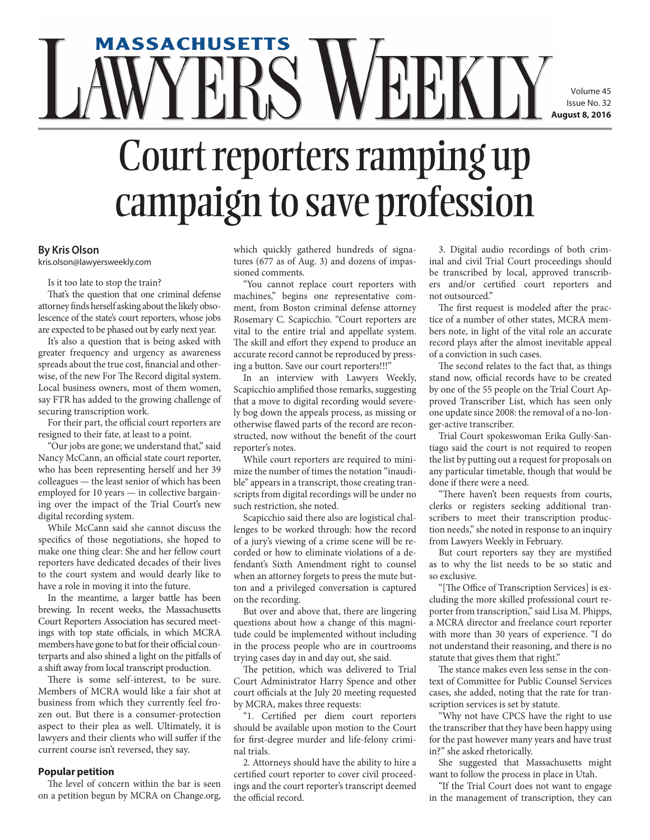# **massachusetts** Volume 45 Issue No. 32  **August 8, 2016** Court reporters ramping up campaign to save profession

### **By Kris Olson**

kris.olson@lawyersweekly.com

Is it too late to stop the train?

That's the question that one criminal defense attorney finds herself asking about the likely obsolescence of the state's court reporters, whose jobs are expected to be phased out by early next year.

It's also a question that is being asked with greater frequency and urgency as awareness spreads about the true cost, financial and otherwise, of the new For The Record digital system. Local business owners, most of them women, say FTR has added to the growing challenge of securing transcription work.

For their part, the official court reporters are resigned to their fate, at least to a point.

"Our jobs are gone; we understand that," said Nancy McCann, an official state court reporter, who has been representing herself and her 39 colleagues — the least senior of which has been employed for 10 years — in collective bargaining over the impact of the Trial Court's new digital recording system.

While McCann said she cannot discuss the specifics of those negotiations, she hoped to make one thing clear: She and her fellow court reporters have dedicated decades of their lives to the court system and would dearly like to have a role in moving it into the future.

In the meantime, a larger battle has been brewing. In recent weeks, the Massachusetts Court Reporters Association has secured meetings with top state officials, in which MCRA members have gone to bat for their official counterparts and also shined a light on the pitfalls of a shift away from local transcript production.

There is some self-interest, to be sure. Members of MCRA would like a fair shot at business from which they currently feel frozen out. But there is a consumer-protection aspect to their plea as well. Ultimately, it is lawyers and their clients who will suffer if the current course isn't reversed, they say.

#### **Popular petition**

The level of concern within the bar is seen on a petition begun by MCRA on Change.org, which quickly gathered hundreds of signatures (677 as of Aug. 3) and dozens of impassioned comments.

"You cannot replace court reporters with machines," begins one representative comment, from Boston criminal defense attorney Rosemary C. Scapicchio. "Court reporters are vital to the entire trial and appellate system. The skill and effort they expend to produce an accurate record cannot be reproduced by pressing a button. Save our court reporters!!!"

In an interview with Lawyers Weekly, Scapicchio amplified those remarks, suggesting that a move to digital recording would severely bog down the appeals process, as missing or otherwise flawed parts of the record are reconstructed, now without the benefit of the court reporter's notes.

While court reporters are required to minimize the number of times the notation "inaudible" appears in a transcript, those creating transcripts from digital recordings will be under no such restriction, she noted.

Scapicchio said there also are logistical challenges to be worked through: how the record of a jury's viewing of a crime scene will be recorded or how to eliminate violations of a defendant's Sixth Amendment right to counsel when an attorney forgets to press the mute button and a privileged conversation is captured on the recording.

But over and above that, there are lingering questions about how a change of this magnitude could be implemented without including in the process people who are in courtrooms trying cases day in and day out, she said.

The petition, which was delivered to Trial Court Administrator Harry Spence and other court officials at the July 20 meeting requested by MCRA, makes three requests:

"1. Certified per diem court reporters should be available upon motion to the Court for first-degree murder and life-felony criminal trials.

2. Attorneys should have the ability to hire a certified court reporter to cover civil proceedings and the court reporter's transcript deemed the official record.

3. Digital audio recordings of both criminal and civil Trial Court proceedings should be transcribed by local, approved transcribers and/or certified court reporters and not outsourced."

The first request is modeled after the practice of a number of other states, MCRA members note, in light of the vital role an accurate record plays after the almost inevitable appeal of a conviction in such cases.

The second relates to the fact that, as things stand now, official records have to be created by one of the 55 people on the Trial Court Approved Transcriber List, which has seen only one update since 2008: the removal of a no-longer-active transcriber.

Trial Court spokeswoman Erika Gully-Santiago said the court is not required to reopen the list by putting out a request for proposals on any particular timetable, though that would be done if there were a need.

"There haven't been requests from courts, clerks or registers seeking additional transcribers to meet their transcription production needs," she noted in response to an inquiry from Lawyers Weekly in February.

But court reporters say they are mystified as to why the list needs to be so static and so exclusive.

"[The Office of Transcription Services] is excluding the more skilled professional court reporter from transcription," said Lisa M. Phipps, a MCRA director and freelance court reporter with more than 30 years of experience. "I do not understand their reasoning, and there is no statute that gives them that right."

The stance makes even less sense in the context of Committee for Public Counsel Services cases, she added, noting that the rate for transcription services is set by statute.

"Why not have CPCS have the right to use the transcriber that they have been happy using for the past however many years and have trust in?" she asked rhetorically.

She suggested that Massachusetts might want to follow the process in place in Utah.

"If the Trial Court does not want to engage in the management of transcription, they can